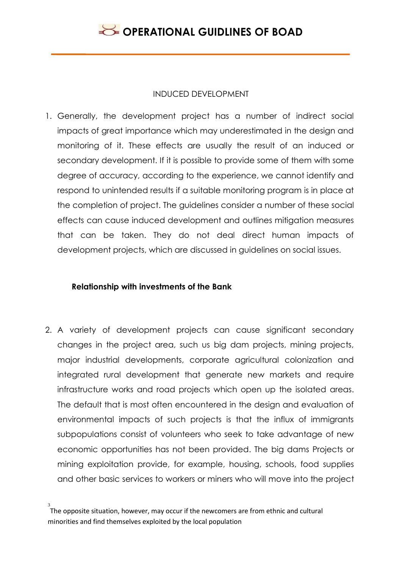### INDUCED DEVELOPMENT

1. Generally, the development project has a number of indirect social impacts of great importance which may underestimated in the design and monitoring of it. These effects are usually the result of an induced or secondary development. If it is possible to provide some of them with some degree of accuracy, according to the experience, we cannot identify and respond to unintended results if a suitable monitoring program is in place at the completion of project. The guidelines consider a number of these social effects can cause induced development and outlines mitigation measures that can be taken. They do not deal direct human impacts of development projects, which are discussed in guidelines on social issues.

### **Relationship with investments of the Bank**

2. A variety of development projects can cause significant secondary changes in the project area, such us big dam projects, mining projects, major industrial developments, corporate agricultural colonization and integrated rural development that generate new markets and require infrastructure works and road projects which open up the isolated areas. The default that is most often encountered in the design and evaluation of environmental impacts of such projects is that the influx of immigrants subpopulations consist of volunteers who seek to take advantage of new economic opportunities has not been provided. The big dams Projects or mining exploitation provide, for example, housing, schools, food supplies and other basic services to workers or miners who will move into the project

<sup>3</sup> The opposite situation, however, may occur if the newcomers are from ethnic and cultural minorities and find themselves exploited by the local population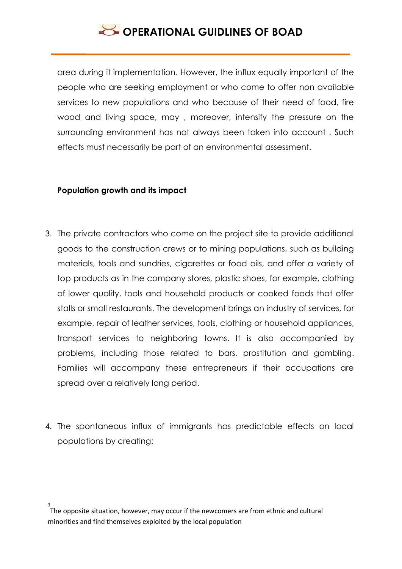area during it implementation. However, the influx equally important of the people who are seeking employment or who come to offer non available services to new populations and who because of their need of food, fire wood and living space, may , moreover, intensify the pressure on the surrounding environment has not always been taken into account . Such effects must necessarily be part of an environmental assessment.

#### **Population growth and its impact**

- 3. The private contractors who come on the project site to provide additional goods to the construction crews or to mining populations, such as building materials, tools and sundries, cigarettes or food oils, and offer a variety of top products as in the company stores, plastic shoes, for example, clothing of lower quality, tools and household products or cooked foods that offer stalls or small restaurants. The development brings an industry of services, for example, repair of leather services, tools, clothing or household appliances, transport services to neighboring towns. It is also accompanied by problems, including those related to bars, prostitution and gambling. Families will accompany these entrepreneurs if their occupations are spread over a relatively long period.
- 4. The spontaneous influx of immigrants has predictable effects on local populations by creating:

<sup>3</sup> The opposite situation, however, may occur if the newcomers are from ethnic and cultural minorities and find themselves exploited by the local population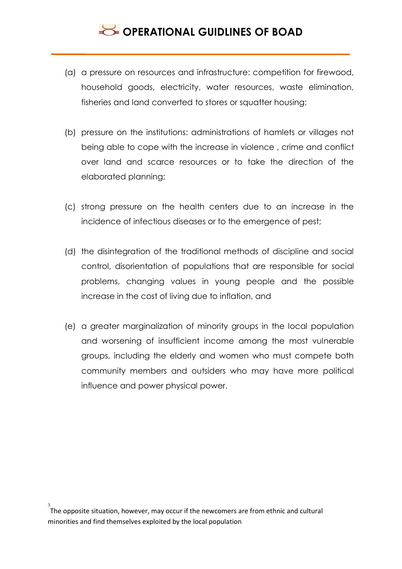- (a) a pressure on resources and infrastructure: competition for firewood, household goods, electricity, water resources, waste elimination, fisheries and land converted to stores or squatter housing;
- (b) pressure on the institutions: administrations of hamlets or villages not being able to cope with the increase in violence , crime and conflict over land and scarce resources or to take the direction of the elaborated planning;
- (c) strong pressure on the health centers due to an increase in the incidence of infectious diseases or to the emergence of pest;
- (d) the disintegration of the traditional methods of discipline and social control, disorientation of populations that are responsible for social problems, changing values in young people and the possible increase in the cost of living due to inflation, and
- (e) a greater marginalization of minority groups in the local population and worsening of insufficient income among the most vulnerable groups, including the elderly and women who must compete both community members and outsiders who may have more political influence and power physical power.

<sup>3</sup> The opposite situation, however, may occur if the newcomers are from ethnic and cultural minorities and find themselves exploited by the local population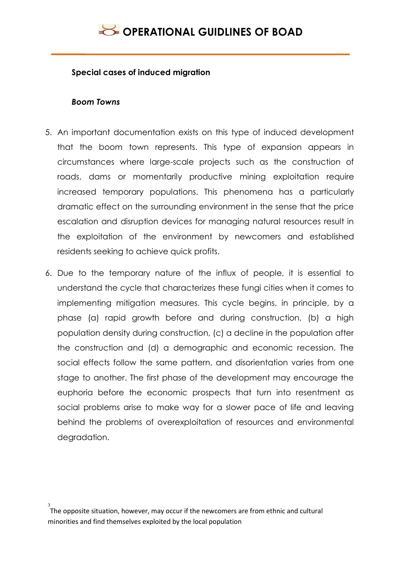#### **Special cases of induced migration**

#### *Boom Towns*

- 5. An important documentation exists on this type of induced development that the boom town represents. This type of expansion appears in circumstances where large-scale projects such as the construction of roads, dams or momentarily productive mining exploitation require increased temporary populations. This phenomena has a particularly dramatic effect on the surrounding environment in the sense that the price escalation and disruption devices for managing natural resources result in the exploitation of the environment by newcomers and established residents seeking to achieve quick profits.
- 6. Due to the temporary nature of the influx of people, it is essential to understand the cycle that characterizes these fungi cities when it comes to implementing mitigation measures. This cycle begins, in principle, by a phase (a) rapid growth before and during construction, (b) a high population density during construction, (c) a decline in the population after the construction and (d) a demographic and economic recession. The social effects follow the same pattern, and disorientation varies from one stage to another. The first phase of the development may encourage the euphoria before the economic prospects that turn into resentment as social problems arise to make way for a slower pace of life and leaving behind the problems of overexploitation of resources and environmental degradation.

<sup>3</sup> The opposite situation, however, may occur if the newcomers are from ethnic and cultural minorities and find themselves exploited by the local population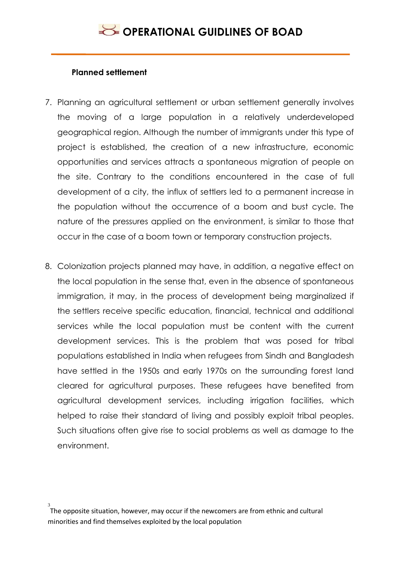#### **Planned settlement**

- 7. Planning an agricultural settlement or urban settlement generally involves the moving of a large population in a relatively underdeveloped geographical region. Although the number of immigrants under this type of project is established, the creation of a new infrastructure, economic opportunities and services attracts a spontaneous migration of people on the site. Contrary to the conditions encountered in the case of full development of a city, the influx of settlers led to a permanent increase in the population without the occurrence of a boom and bust cycle. The nature of the pressures applied on the environment, is similar to those that occur in the case of a boom town or temporary construction projects.
- 8. Colonization projects planned may have, in addition, a negative effect on the local population in the sense that, even in the absence of spontaneous immigration, it may, in the process of development being marginalized if the settlers receive specific education, financial, technical and additional services while the local population must be content with the current development services. This is the problem that was posed for tribal populations established in India when refugees from Sindh and Bangladesh have settled in the 1950s and early 1970s on the surrounding forest land cleared for agricultural purposes. These refugees have benefited from agricultural development services, including irrigation facilities, which helped to raise their standard of living and possibly exploit tribal peoples. Such situations often give rise to social problems as well as damage to the environment.

<sup>3</sup> The opposite situation, however, may occur if the newcomers are from ethnic and cultural minorities and find themselves exploited by the local population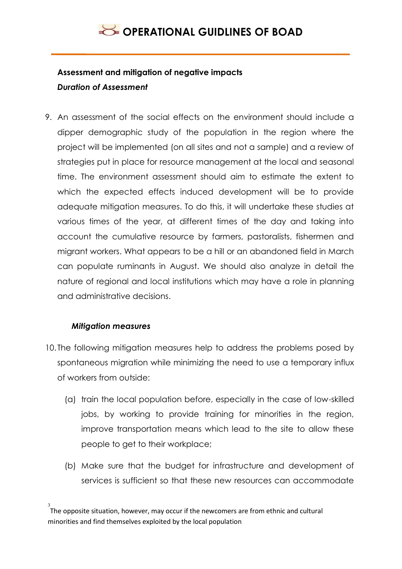### **Assessment and mitigation of negative impacts** *Duration of Assessment*

9. An assessment of the social effects on the environment should include a dipper demographic study of the population in the region where the project will be implemented (on all sites and not a sample) and a review of strategies put in place for resource management at the local and seasonal time. The environment assessment should aim to estimate the extent to which the expected effects induced development will be to provide adequate mitigation measures. To do this, it will undertake these studies at various times of the year, at different times of the day and taking into account the cumulative resource by farmers, pastoralists, fishermen and migrant workers. What appears to be a hill or an abandoned field in March can populate ruminants in August. We should also analyze in detail the nature of regional and local institutions which may have a role in planning and administrative decisions.

### *Mitigation measures*

- 10. The following mitigation measures help to address the problems posed by spontaneous migration while minimizing the need to use a temporary influx of workers from outside:
	- (a) train the local population before, especially in the case of low-skilled jobs, by working to provide training for minorities in the region, improve transportation means which lead to the site to allow these people to get to their workplace;
	- (b) Make sure that the budget for infrastructure and development of services is sufficient so that these new resources can accommodate

<sup>3</sup> The opposite situation, however, may occur if the newcomers are from ethnic and cultural minorities and find themselves exploited by the local population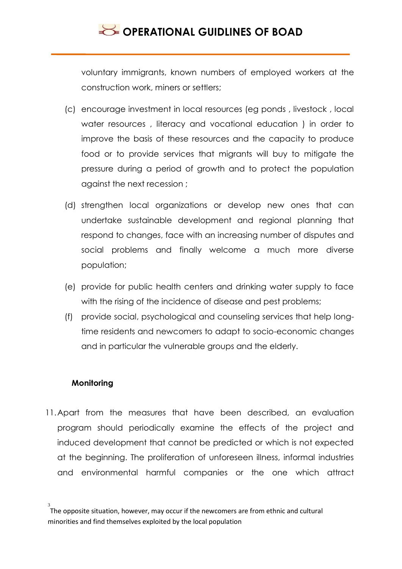voluntary immigrants, known numbers of employed workers at the construction work, miners or settlers;

- (c) encourage investment in local resources (eg ponds , livestock , local water resources , literacy and vocational education ) in order to improve the basis of these resources and the capacity to produce food or to provide services that migrants will buy to mitigate the pressure during a period of growth and to protect the population against the next recession ;
- (d) strengthen local organizations or develop new ones that can undertake sustainable development and regional planning that respond to changes, face with an increasing number of disputes and social problems and finally welcome a much more diverse population;
- (e) provide for public health centers and drinking water supply to face with the rising of the incidence of disease and pest problems;
- (f) provide social, psychological and counseling services that help longtime residents and newcomers to adapt to socio-economic changes and in particular the vulnerable groups and the elderly.

#### **Monitoring**

11.Apart from the measures that have been described, an evaluation program should periodically examine the effects of the project and induced development that cannot be predicted or which is not expected at the beginning. The proliferation of unforeseen illness, informal industries and environmental harmful companies or the one which attract

<sup>3</sup> The opposite situation, however, may occur if the newcomers are from ethnic and cultural minorities and find themselves exploited by the local population